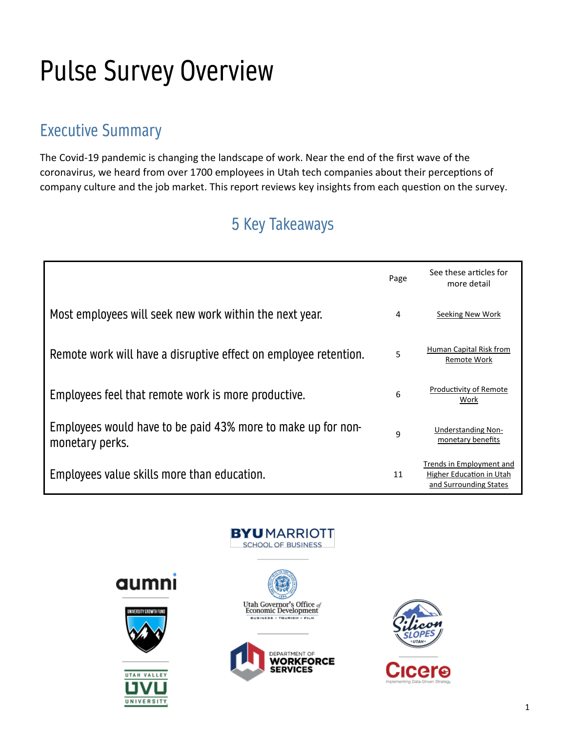# Pulse Survey Overview

### Executive Summary

The Covid-19 pandemic is changing the landscape of work. Near the end of the first wave of the coronavirus, we heard from over 1700 employees in Utah tech companies about their perceptions of company culture and the job market. This report reviews key insights from each question on the survey.

# 5 Key Takeaways

|                                                                                 | Page | See these articles for<br>more detail                                          |
|---------------------------------------------------------------------------------|------|--------------------------------------------------------------------------------|
| Most employees will seek new work within the next year.                         | 4    | Seeking New Work                                                               |
| Remote work will have a disruptive effect on employee retention.                | 5    | Human Capital Risk from<br>Remote Work                                         |
| Employees feel that remote work is more productive.                             | 6    | Productivity of Remote<br>Work                                                 |
| Employees would have to be paid 43% more to make up for non-<br>monetary perks. | 9    | <b>Understanding Non-</b><br>monetary benefits                                 |
| Employees value skills more than education.                                     | 11   | Trends in Employment and<br>Higher Education in Utah<br>and Surrounding States |





UNIVERSITY



**BYUMARRIOTT SCHOOL OF BUSINESS** 



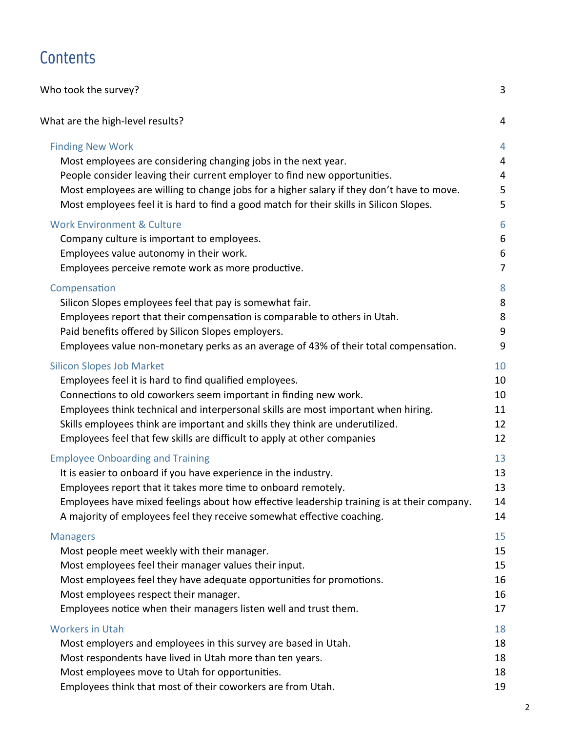# **Contents**

| Who took the survey?                                                                       | 3              |
|--------------------------------------------------------------------------------------------|----------------|
| What are the high-level results?                                                           | 4              |
| <b>Finding New Work</b>                                                                    | 4              |
| Most employees are considering changing jobs in the next year.                             | $\overline{4}$ |
| People consider leaving their current employer to find new opportunities.                  | 4              |
| Most employees are willing to change jobs for a higher salary if they don't have to move.  | 5              |
| Most employees feel it is hard to find a good match for their skills in Silicon Slopes.    | 5              |
| <b>Work Environment &amp; Culture</b>                                                      | 6              |
| Company culture is important to employees.                                                 | 6              |
| Employees value autonomy in their work.                                                    | 6              |
| Employees perceive remote work as more productive.                                         | $\overline{7}$ |
| Compensation                                                                               | 8              |
| Silicon Slopes employees feel that pay is somewhat fair.                                   | 8              |
| Employees report that their compensation is comparable to others in Utah.                  | 8              |
| Paid benefits offered by Silicon Slopes employers.                                         | 9              |
| Employees value non-monetary perks as an average of 43% of their total compensation.       | 9              |
| <b>Silicon Slopes Job Market</b>                                                           | 10             |
| Employees feel it is hard to find qualified employees.                                     | 10             |
| Connections to old coworkers seem important in finding new work.                           | 10             |
| Employees think technical and interpersonal skills are most important when hiring.         | 11             |
| Skills employees think are important and skills they think are underutilized.              | 12             |
| Employees feel that few skills are difficult to apply at other companies                   | 12             |
| <b>Employee Onboarding and Training</b>                                                    | 13             |
| It is easier to onboard if you have experience in the industry.                            | 13             |
| Employees report that it takes more time to onboard remotely.                              | 13             |
| Employees have mixed feelings about how effective leadership training is at their company. | 14             |
| A majority of employees feel they receive somewhat effective coaching.                     | 14             |
| <b>Managers</b>                                                                            | 15             |
| Most people meet weekly with their manager.                                                | 15             |
| Most employees feel their manager values their input.                                      | 15             |
| Most employees feel they have adequate opportunities for promotions.                       | 16             |
| Most employees respect their manager.                                                      | 16             |
| Employees notice when their managers listen well and trust them.                           | 17             |
| <b>Workers in Utah</b>                                                                     | 18             |
| Most employers and employees in this survey are based in Utah.                             | 18             |
| Most respondents have lived in Utah more than ten years.                                   | 18             |
| Most employees move to Utah for opportunities.                                             | 18             |
| Employees think that most of their coworkers are from Utah.                                | 19             |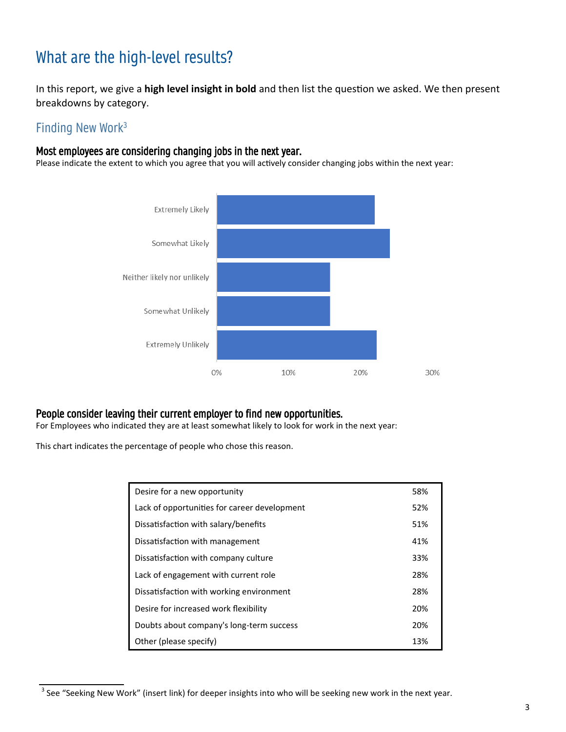### What are the high-level results?

In this report, we give a **high level insight in bold** and then list the question we asked. We then present breakdowns by category.

#### Finding New Work<sup>3</sup>

#### Most employees are considering changing jobs in the next year.

Please indicate the extent to which you agree that you will actively consider changing jobs within the next year:



#### People consider leaving their current employer to find new opportunities.

For Employees who indicated they are at least somewhat likely to look for work in the next year:

This chart indicates the percentage of people who chose this reason.

| Desire for a new opportunity                 | 58% |
|----------------------------------------------|-----|
| Lack of opportunities for career development | 52% |
| Dissatisfaction with salary/benefits         | 51% |
| Dissatisfaction with management              | 41% |
| Dissatisfaction with company culture         | 33% |
| Lack of engagement with current role         | 28% |
| Dissatisfaction with working environment     | 28% |
| Desire for increased work flexibility        | 20% |
| Doubts about company's long-term success     | 20% |
| Other (please specify)                       | 13% |

 $3$  See "Seeking New Work" (insert link) for deeper insights into who will be seeking new work in the next year.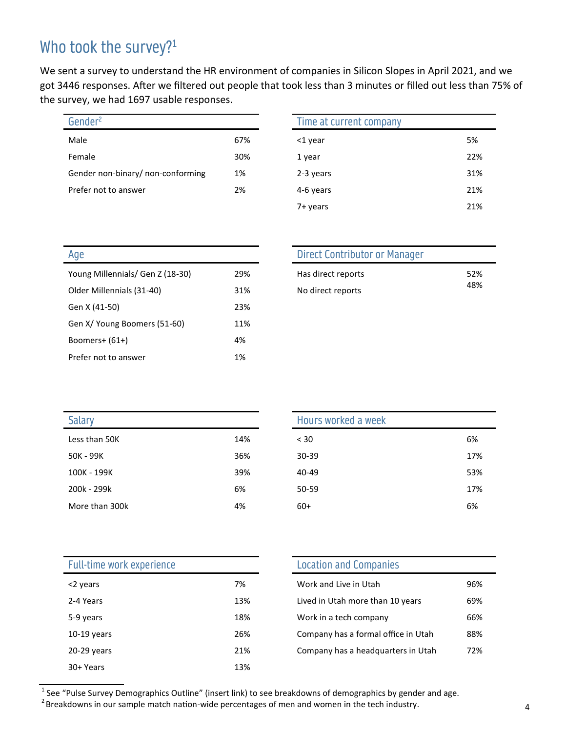# Who took the survey?<sup>1</sup>

We sent a survey to understand the HR environment of companies in Silicon Slopes in April 2021, and we got 3446 responses. After we filtered out people that took less than 3 minutes or filled out less than 75% of the survey, we had 1697 usable responses.

| Gender <sup>2</sup>               |     |
|-----------------------------------|-----|
| Male                              | 67% |
| Female                            | 30% |
| Gender non-binary/ non-conforming | 1%  |
| Prefer not to answer              | 2%  |

| Gender <sup>2</sup>               |     | Time at current company |     |
|-----------------------------------|-----|-------------------------|-----|
| Male                              | 67% | <1 year                 | 5%  |
| Female                            | 30% | 1 year                  | 22% |
| Gender non-binary/ non-conforming | 1%  | 2-3 years               | 31% |
| Prefer not to answer              | 2%  | 4-6 years               | 21% |
|                                   |     | 7+ years                | 21% |
|                                   |     |                         |     |

| Age                              |     | Direct Contributor or Manager |
|----------------------------------|-----|-------------------------------|
| Young Millennials/ Gen Z (18-30) | 29% | Has direct reports            |
| Older Millennials (31-40)        | 31% | No direct reports             |
| Gen X (41-50)                    | 23% |                               |
| Gen X/ Young Boomers (51-60)     | 11% |                               |
| Boomers+ $(61+)$                 | 4%  |                               |
| Prefer not to answer             | 1%  |                               |
|                                  |     |                               |

| Age                              |     | Direct Contributor or Manager |     |
|----------------------------------|-----|-------------------------------|-----|
| Young Millennials/ Gen Z (18-30) | 29% | Has direct reports            | 52% |
| Older Millennials (31-40)        | 31% | No direct reports             | 48% |

| <b>Salary</b>  |     | Hours worked a week |
|----------------|-----|---------------------|
| Less than 50K  | 14% | < 30                |
| 50K - 99K      | 36% | $30 - 39$           |
| 100K - 199K    | 39% | 40-49               |
| 200k - 299k    | 6%  | 50-59               |
| More than 300k | 4%  | $60+$               |

| <b>Salary</b>  |     | Hours worked a week |     |
|----------------|-----|---------------------|-----|
| Less than 50K  | 14% | < 30                | 6%  |
| 50K - 99K      | 36% | $30 - 39$           | 17% |
| 100K - 199K    | 39% | 40-49               | 53% |
| 200k - 299k    | 6%  | 50-59               | 17% |
| More than 300k | 4%  | $60+$               | 6%  |
|                |     |                     |     |

| Full-time work experience |     | <b>Location and Companies</b> |
|---------------------------|-----|-------------------------------|
| <2 years                  | 7%  | Work and Live in Utah         |
| 2-4 Years                 | 13% | Lived in Utah more than 10    |
| 5-9 years                 | 18% | Work in a tech company        |
| $10-19$ years             | 26% | Company has a formal offic    |
| $20-29$ years             | 21% | Company has a headquarte      |
| 30+ Years                 | 13% |                               |
|                           |     |                               |

| <b>Location and Companies</b> |  |  |
|-------------------------------|--|--|

| <2 years    | 7%  | Work and Live in Utah               | 96% |
|-------------|-----|-------------------------------------|-----|
| 2-4 Years   | 13% | Lived in Utah more than 10 years    | 69% |
| 5-9 years   | 18% | Work in a tech company              | 66% |
| 10-19 years | 26% | Company has a formal office in Utah | 88% |
| 20-29 vears | 21% | Company has a headquarters in Utah  | 72% |
|             |     |                                     |     |

 $^1$  See "Pulse Survey Demographics Outline" (insert link) to see breakdowns of demographics by gender and age.

2Breakdowns in our sample match nation-wide percentages of men and women in the tech industry.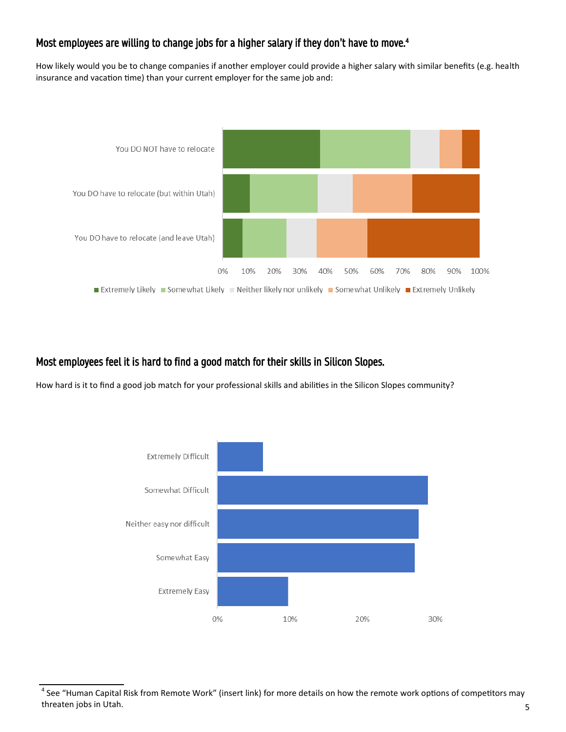#### Most employees are willing to change jobs for a higher salary if they don't have to move.<sup>4</sup>

How likely would you be to change companies if another employer could provide a higher salary with similar benefits (e.g. health insurance and vacation time) than your current employer for the same job and:



#### Most employees feel it is hard to find a good match for their skills in Silicon Slopes.

How hard is it to find a good job match for your professional skills and abilities in the Silicon Slopes community?



<sup>&</sup>lt;sup>4</sup> See "Human Capital Risk from Remote Work" (insert link) for more details on how the remote work options of competitors may threaten jobs in Utah.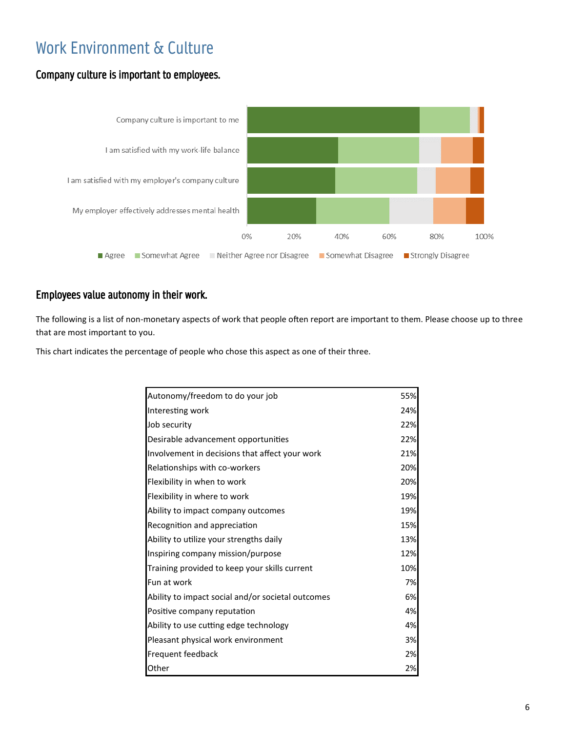## Work Environment & Culture

#### Company culture is important to employees.



#### Employees value autonomy in their work.

The following is a list of non-monetary aspects of work that people often report are important to them. Please choose up to three that are most important to you.

This chart indicates the percentage of people who chose this aspect as one of their three.

| Autonomy/freedom to do your job                   | 55%       |
|---------------------------------------------------|-----------|
| Interesting work                                  | 24%       |
| Job security                                      | 22%       |
| Desirable advancement opportunities               | 22%       |
| Involvement in decisions that affect your work    | 21%       |
| Relationships with co-workers                     | 20%       |
| Flexibility in when to work                       | 20%       |
| Flexibility in where to work                      | 19%       |
| Ability to impact company outcomes                | 19%       |
| Recognition and appreciation                      | 15%       |
| Ability to utilize your strengths daily           | 13%       |
| Inspiring company mission/purpose                 | 12%       |
| Training provided to keep your skills current     | 10%       |
| Fun at work                                       | <b>7%</b> |
| Ability to impact social and/or societal outcomes | 6%        |
| Positive company reputation                       | 4%        |
| Ability to use cutting edge technology            | 4%        |
| Pleasant physical work environment                | <b>3%</b> |
| Frequent feedback                                 | 2%        |
| Other                                             | 2%        |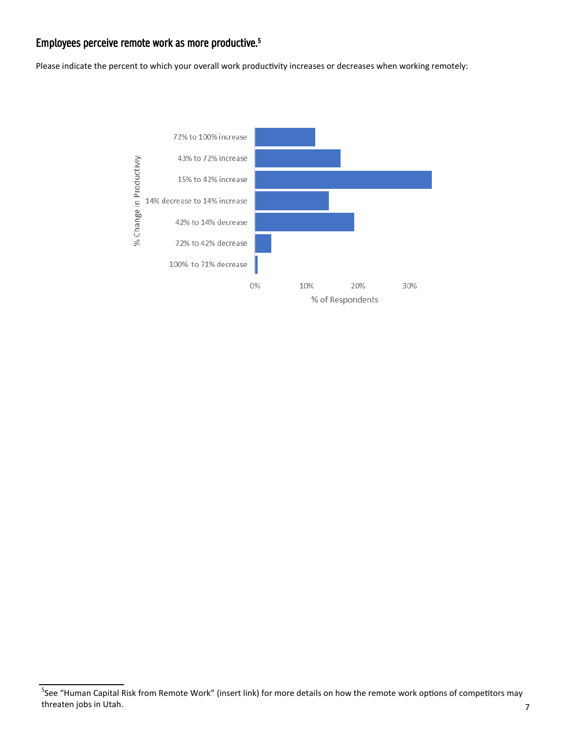#### Employees perceive remote work as more productive.<sup>5</sup>

Please indicate the percent to which your overall work productivity increases or decreases when working remotely:



<sup>&</sup>lt;sup>5</sup>See "Human Capital Risk from Remote Work" (insert link) for more details on how the remote work options of competitors may threaten jobs in Utah.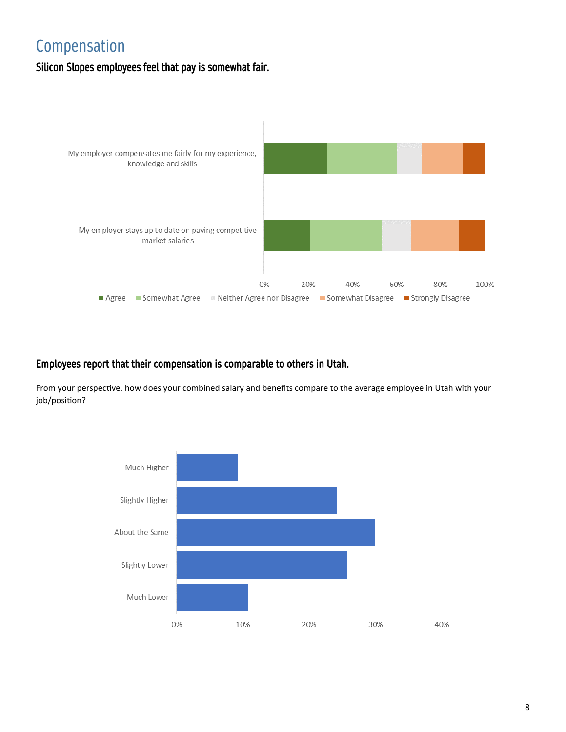### Compensation

#### Silicon Slopes employees feel that pay is somewhat fair.



#### Employees report that their compensation is comparable to others in Utah.

From your perspective, how does your combined salary and benefits compare to the average employee in Utah with your job/position?

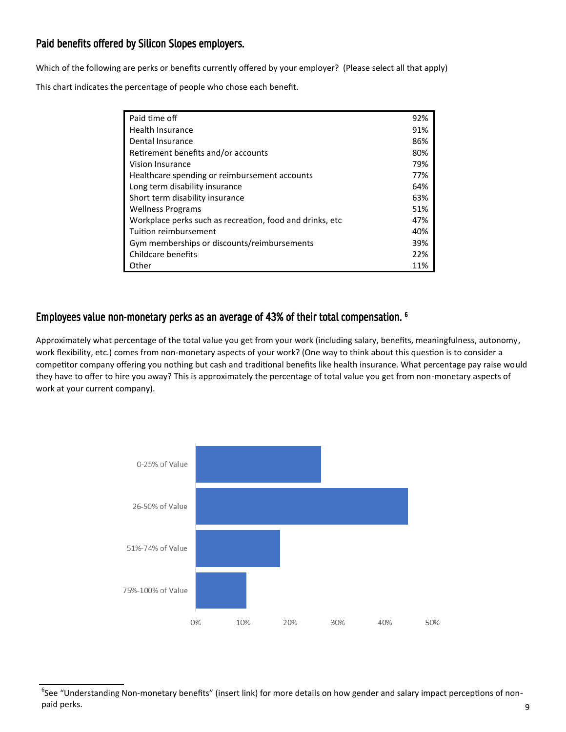#### Paid benefits offered by Silicon Slopes employers.

Which of the following are perks or benefits currently offered by your employer? (Please select all that apply)

This chart indicates the percentage of people who chose each benefit.

| Paid time off                                            | 92% |
|----------------------------------------------------------|-----|
| <b>Health Insurance</b>                                  | 91% |
| Dental Insurance                                         | 86% |
| Retirement benefits and/or accounts                      | 80% |
| <b>Vision Insurance</b>                                  | 79% |
| Healthcare spending or reimbursement accounts            | 77% |
| Long term disability insurance                           | 64% |
| Short term disability insurance                          | 63% |
| <b>Wellness Programs</b>                                 | 51% |
| Workplace perks such as recreation, food and drinks, etc | 47% |
| Tuition reimbursement                                    | 40% |
| Gym memberships or discounts/reimbursements              | 39% |
| Childcare benefits                                       | 22% |
| Other                                                    | 11% |

#### Employees value non-monetary perks as an average of 43% of their total compensation. <sup>6</sup>

Approximately what percentage of the total value you get from your work (including salary, benefits, meaningfulness, autonomy, work flexibility, etc.) comes from non-monetary aspects of your work? (One way to think about this question is to consider a competitor company offering you nothing but cash and traditional benefits like health insurance. What percentage pay raise would they have to offer to hire you away? This is approximately the percentage of total value you get from non-monetary aspects of work at your current company).



<sup>&</sup>lt;sup>6</sup>See "Understanding Non-monetary benefits" (insert link) for more details on how gender and salary impact perceptions of nonpaid perks.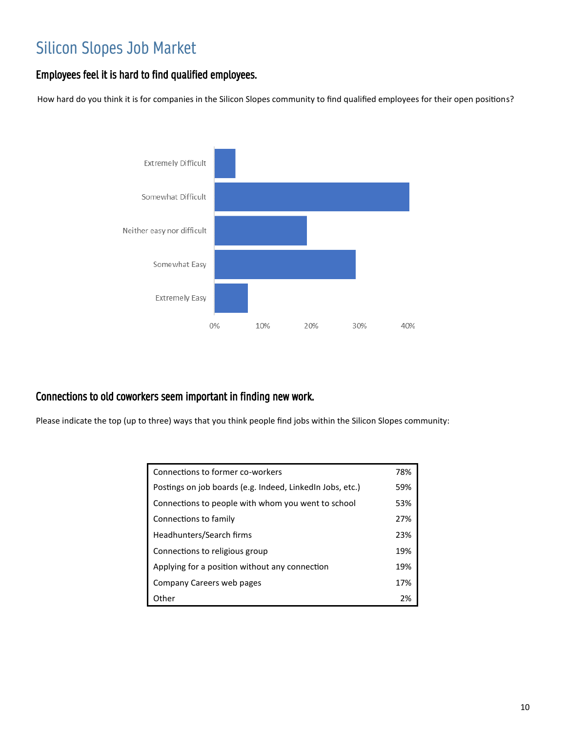## Silicon Slopes Job Market

#### Employees feel it is hard to find qualified employees.

How hard do you think it is for companies in the Silicon Slopes community to find qualified employees for their open positions?



#### Connections to old coworkers seem important in finding new work.

Please indicate the top (up to three) ways that you think people find jobs within the Silicon Slopes community:

| Connections to former co-workers                          |     |  |
|-----------------------------------------------------------|-----|--|
| Postings on job boards (e.g. Indeed, LinkedIn Jobs, etc.) |     |  |
| Connections to people with whom you went to school        | 53% |  |
| Connections to family                                     | 27% |  |
| Headhunters/Search firms                                  | 23% |  |
| Connections to religious group                            |     |  |
| Applying for a position without any connection            |     |  |
| Company Careers web pages                                 | 17% |  |
| Other                                                     | 2%  |  |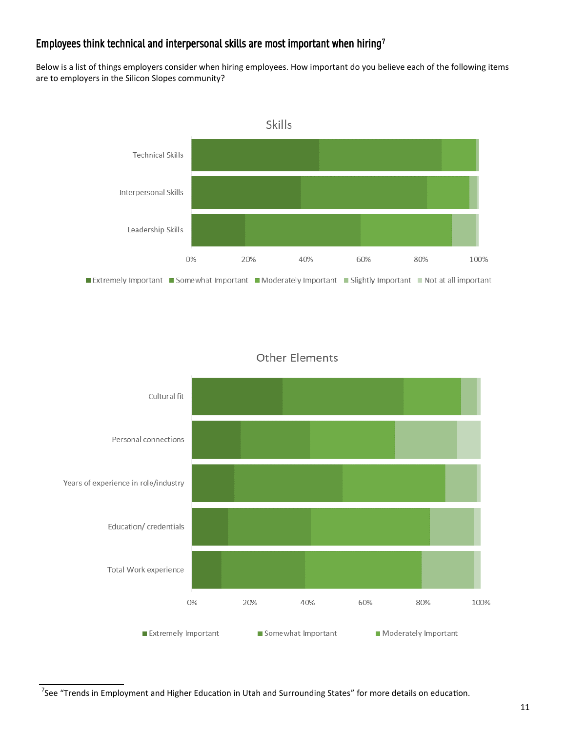#### Employees think technical and interpersonal skills are most important when hiring<sup>7</sup>

Below is a list of things employers consider when hiring employees. How important do you believe each of the following items are to employers in the Silicon Slopes community?



#### Other Elements



 $^7$ See "Trends in Employment and Higher Education in Utah and Surrounding States" for more details on education.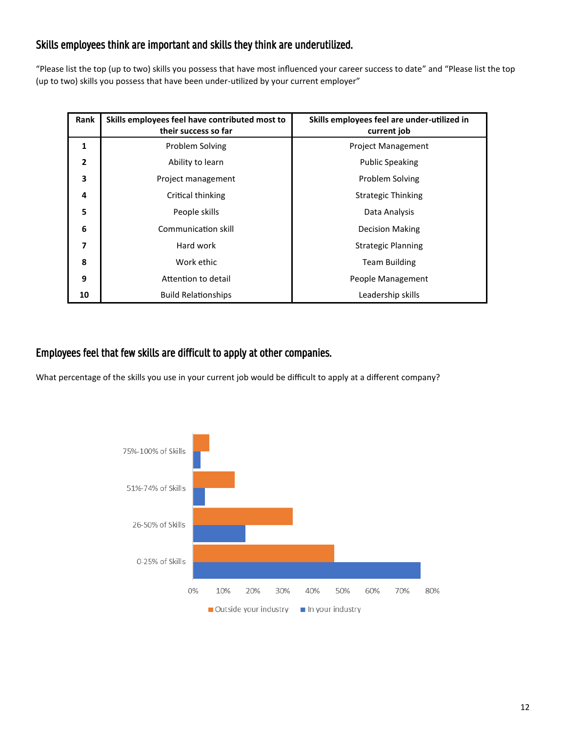#### Skills employees think are important and skills they think are underutilized.

"Please list the top (up to two) skills you possess that have most influenced your career success to date" and "Please list the top (up to two) skills you possess that have been under-utilized by your current employer"

| Rank | Skills employees feel have contributed most to<br>their success so far | Skills employees feel are under-utilized in<br>current job |
|------|------------------------------------------------------------------------|------------------------------------------------------------|
| 1    | Problem Solving                                                        | <b>Project Management</b>                                  |
| 2    | Ability to learn                                                       | <b>Public Speaking</b>                                     |
| 3    | Project management                                                     | Problem Solving                                            |
| 4    | Critical thinking                                                      | Strategic Thinking                                         |
| 5    | People skills                                                          | Data Analysis                                              |
| 6    | Communication skill                                                    | <b>Decision Making</b>                                     |
| 7    | Hard work                                                              | <b>Strategic Planning</b>                                  |
| 8    | Work ethic                                                             | <b>Team Building</b>                                       |
| 9    | Attention to detail                                                    | People Management                                          |
| 10   | <b>Build Relationships</b>                                             | Leadership skills                                          |

#### Employees feel that few skills are difficult to apply at other companies.

What percentage of the skills you use in your current job would be difficult to apply at a different company?

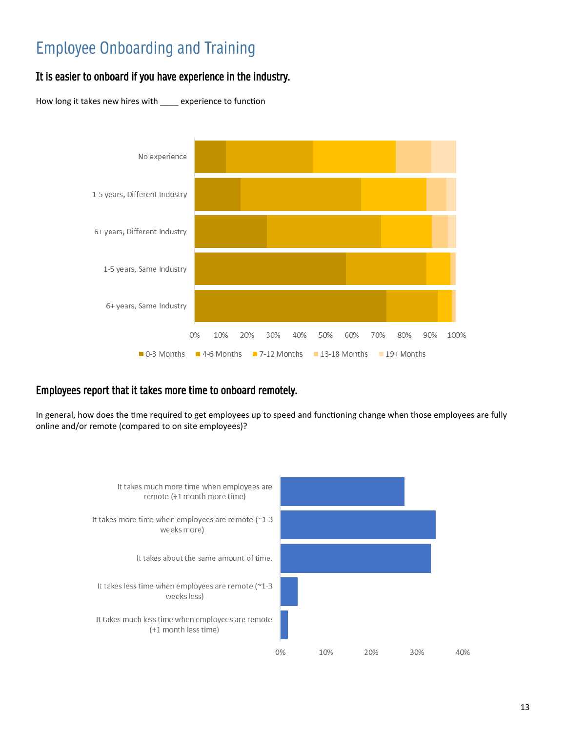# Employee Onboarding and Training

#### It is easier to onboard if you have experience in the industry.

How long it takes new hires with \_\_\_\_ experience to function



#### Employees report that it takes more time to onboard remotely.

In general, how does the time required to get employees up to speed and functioning change when those employees are fully online and/or remote (compared to on site employees)?

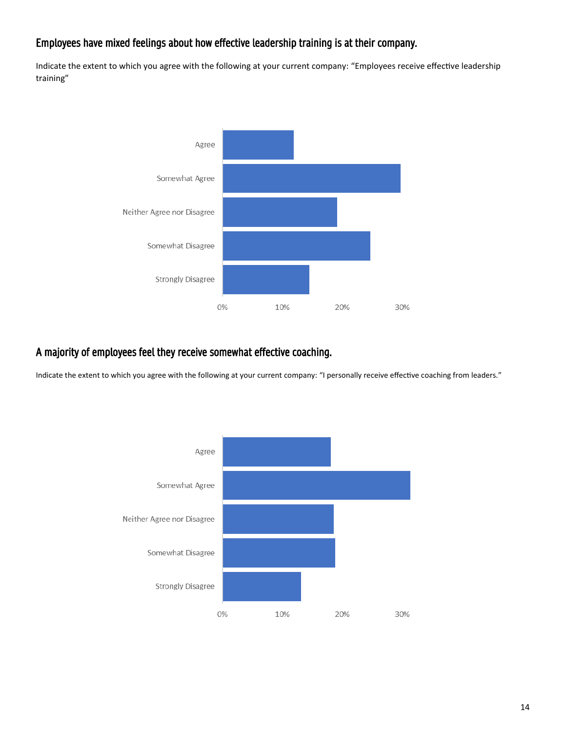#### Employees have mixed feelings about how effective leadership training is at their company.

Indicate the extent to which you agree with the following at your current company: "Employees receive effective leadership training"



#### A majority of employees feel they receive somewhat effective coaching.

Indicate the extent to which you agree with the following at your current company: "I personally receive effective coaching from leaders."

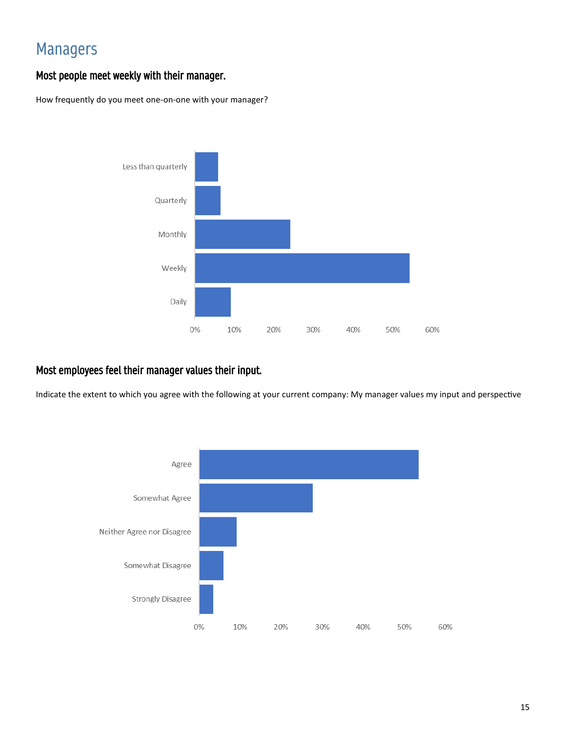### Managers

#### Most people meet weekly with their manager.

How frequently do you meet one-on-one with your manager?



#### Most employees feel their manager values their input.

Indicate the extent to which you agree with the following at your current company: My manager values my input and perspective

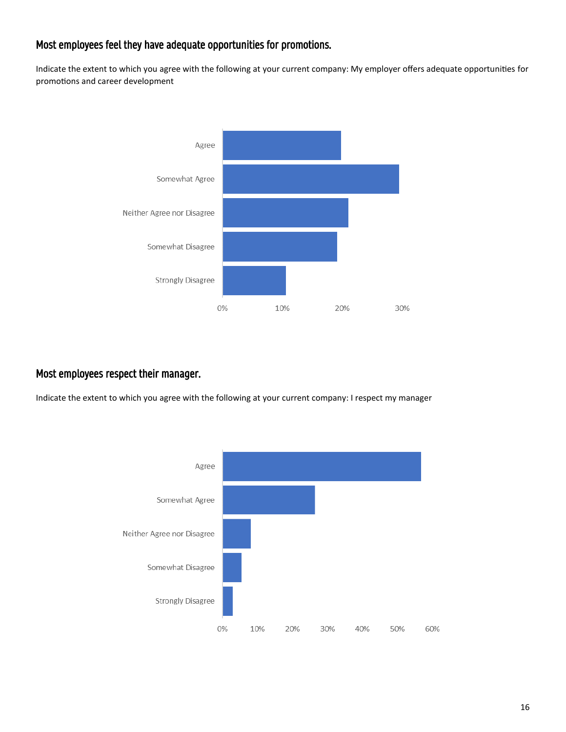#### Most employees feel they have adequate opportunities for promotions.

Indicate the extent to which you agree with the following at your current company: My employer offers adequate opportunities for promotions and career development



#### Most employees respect their manager.

Indicate the extent to which you agree with the following at your current company: I respect my manager

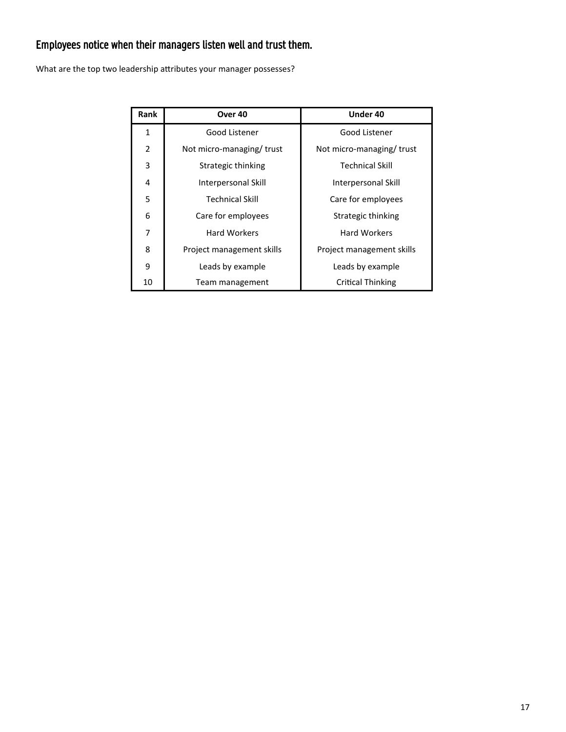#### Employees notice when their managers listen well and trust them.

What are the top two leadership attributes your manager possesses?

| Rank           | Over <sub>40</sub>        | Under 40                  |
|----------------|---------------------------|---------------------------|
| $\mathbf{1}$   | Good Listener             | Good Listener             |
| $\overline{2}$ | Not micro-managing/trust  | Not micro-managing/trust  |
| 3              | Strategic thinking        | <b>Technical Skill</b>    |
| 4              | Interpersonal Skill       | Interpersonal Skill       |
| 5              | <b>Technical Skill</b>    | Care for employees        |
| 6              | Care for employees        | Strategic thinking        |
| 7              | <b>Hard Workers</b>       | <b>Hard Workers</b>       |
| 8              | Project management skills | Project management skills |
| 9              | Leads by example          | Leads by example          |
| 10             | Team management           | Critical Thinking         |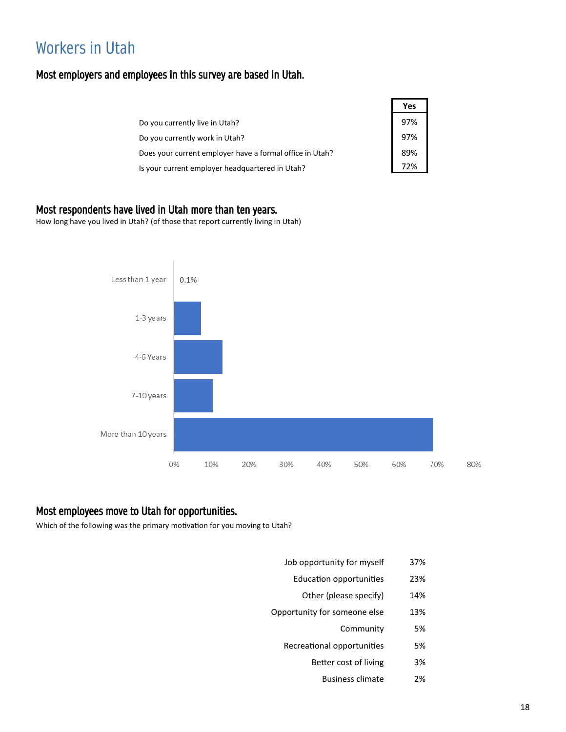### Workers in Utah

#### Most employers and employees in this survey are based in Utah.

|                                                          | Yes        |
|----------------------------------------------------------|------------|
| Do you currently live in Utah?                           | 97%        |
| Do you currently work in Utah?                           |            |
| Does your current employer have a formal office in Utah? | 97%<br>89% |
| Is your current employer headquartered in Utah?          |            |

Г

#### Most respondents have lived in Utah more than ten years.

How long have you lived in Utah? (of those that report currently living in Utah)



#### Most employees move to Utah for opportunities.

Which of the following was the primary motivation for you moving to Utah?

- Job opportunity for myself 37%
	- Education opportunities 23%
		- Other (please specify) 14%
- Opportunity for someone else 13%
	- Community 5%
	- Recreational opportunities 5%
		- Better cost of living 3%
			- Business climate 2%